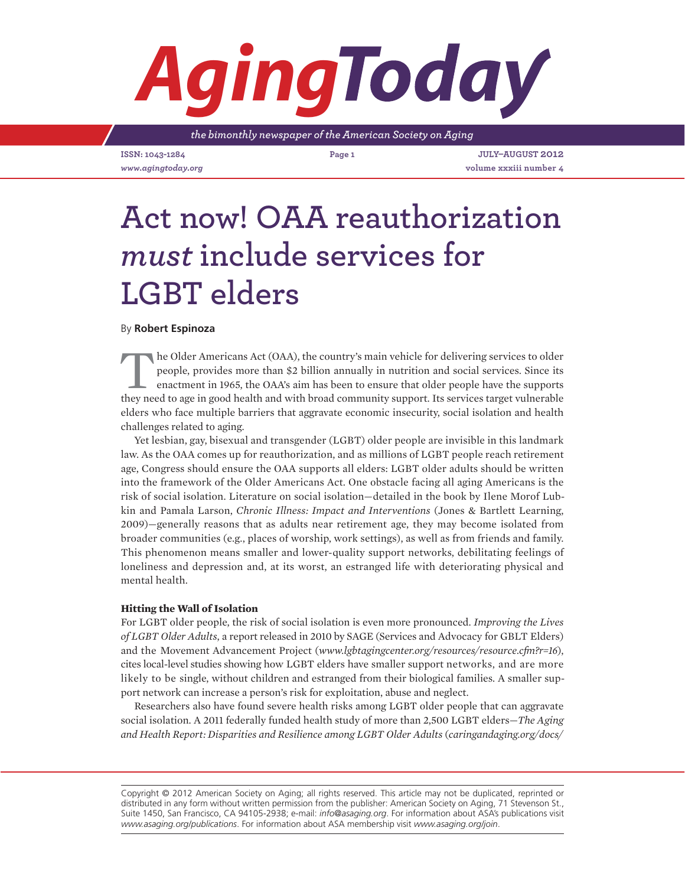# *Aging*

*the bimonthly newspaper of the American Society on Aging*

**ISSN: 1043-1284 Page 1 JULY–AUGUST 2012**

*www.agingtoday.org* **volume xxxiii number 4**

# **Act now! OAA reauthorization**  *must* **include services for LGBT elders**

# By **Robert Espinoza**

The Older Americans Act (OAA), the country's main vehicle for delivering services to older people, provides more than \$2 billion annually in nutrition and social services. Since its enactment in 1965, the OAA's aim has been to ensure that older people have the supports they need to age in good health and with broad community support. Its services target vulnerable elders who face multiple barriers that aggravate economic insecurity, social isolation and health challenges related to aging.

Yet lesbian, gay, bisexual and transgender (LGBT) older people are invisible in this landmark law. As the OAA comes up for reauthorization, and as millions of LGBT people reach retirement age, Congress should ensure the OAA supports all elders: LGBT older adults should be written into the framework of the Older Americans Act. One obstacle facing all aging Americans is the risk of social isolation. Literature on social isolation—detailed in the book by Ilene Morof Lubkin and Pamala Larson, *Chronic Illness: Impact and Interventions* (Jones & Bartlett Learning, 2009)—generally reasons that as adults near retirement age, they may become isolated from broader communities (e.g., places of worship, work settings), as well as from friends and family. This phenomenon means smaller and lower-quality support networks, debilitating feelings of loneliness and depression and, at its worst, an estranged life with deteriorating physical and mental health.

### **Hitting the Wall of Isolation**

For LGBT older people, the risk of social isolation is even more pronounced. *Improving the Lives of LGBT Older Adults*, a report released in 2010 by SAGE (Services and Advocacy for GBLT Elders) and the Movement Advancement Project (*www.lgbtagingcenter.org/resources/resource.cfm?r=16*), cites local-level studies showing how LGBT elders have smaller support networks, and are more likely to be single, without children and estranged from their biological families. A smaller support network can increase a person's risk for exploitation, abuse and neglect.

Researchers also have found severe health risks among LGBT older people that can aggravate social isolation. A 2011 federally funded health study of more than 2,500 LGBT elders—*The Aging and Health Report: Disparities and Resilience among LGBT Older Adults* (*caringandaging.org/docs/*

Copyright © 2012 American Society on Aging; all rights reserved. This article may not be duplicated, reprinted or distributed in any form without written permission from the publisher: American Society on Aging, 71 Stevenson St., Suite 1450, San Francisco, CA 94105-2938; e-mail: *info@asaging.org*. For information about ASA's publications visit *www.asaging.org/publications*. For information about ASA membership visit *www.asaging.org/join*.